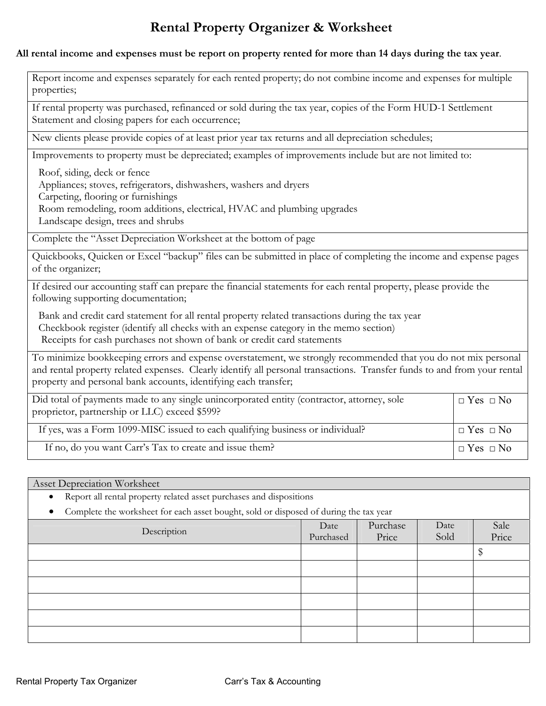# **Rental Property Organizer & Worksheet**

#### **All rental income and expenses must be report on property rented for more than 14 days during the tax year**.

Report income and expenses separately for each rented property; do not combine income and expenses for multiple properties;

If rental property was purchased, refinanced or sold during the tax year, copies of the Form HUD-1 Settlement Statement and closing papers for each occurrence;

New clients please provide copies of at least prior year tax returns and all depreciation schedules;

Improvements to property must be depreciated; examples of improvements include but are not limited to:

Roof, siding, deck or fence

Appliances; stoves, refrigerators, dishwashers, washers and dryers

Carpeting, flooring or furnishings

Room remodeling, room additions, electrical, HVAC and plumbing upgrades

Landscape design, trees and shrubs

Complete the "Asset Depreciation Worksheet at the bottom of page

Quickbooks, Quicken or Excel "backup" files can be submitted in place of completing the income and expense pages of the organizer;

If desired our accounting staff can prepare the financial statements for each rental property, please provide the following supporting documentation;

Bank and credit card statement for all rental property related transactions during the tax year

Checkbook register (identify all checks with an expense category in the memo section)

Receipts for cash purchases not shown of bank or credit card statements

To minimize bookkeeping errors and expense overstatement, we strongly recommended that you do not mix personal and rental property related expenses. Clearly identify all personal transactions. Transfer funds to and from your rental property and personal bank accounts, identifying each transfer;

| Did total of payments made to any single unincorporated entity (contractor, attorney, sole<br>proprietor, partnership or LLC) exceed \$599? | $\Box$ Yes $\Box$ No |
|---------------------------------------------------------------------------------------------------------------------------------------------|----------------------|
| If yes, was a Form 1099-MISC issued to each qualifying business or individual?                                                              | $\Box$ Yes $\Box$ No |
| If no, do you want Carr's Tax to create and issue them?                                                                                     | $\Box$ Yes $\Box$ No |

Asset Depreciation Worksheet • Report all rental property related asset purchases and dispositions • Complete the worksheet for each asset bought, sold or disposed of during the tax year Description Date Purchased Purchase Price Date Sold Sale Price \$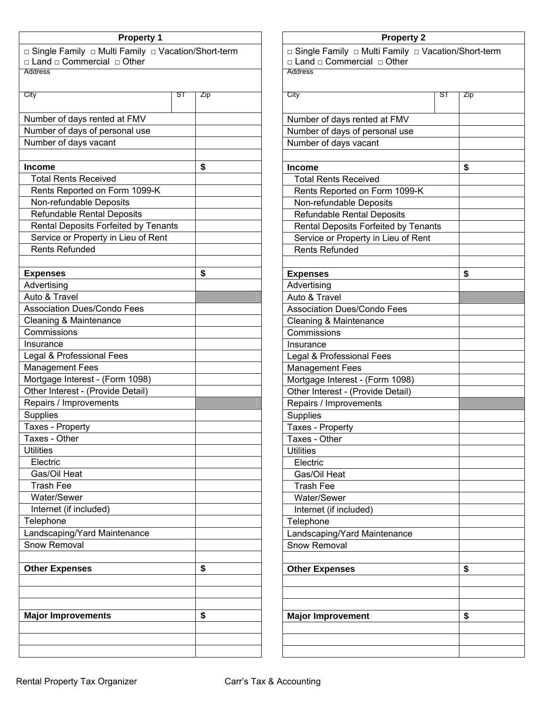| <b>Property 1</b>                                                                              |    |     |
|------------------------------------------------------------------------------------------------|----|-----|
| □ Single Family □ Multi Family □ Vacation/Short-term<br>□ Land □ Commercial □ Other<br>Address |    |     |
|                                                                                                |    |     |
| City                                                                                           | SТ | Zip |
|                                                                                                |    |     |
| Number of days rented at FMV                                                                   |    |     |
| Number of days of personal use                                                                 |    |     |
| Number of days vacant                                                                          |    |     |
|                                                                                                |    |     |
| <b>Income</b>                                                                                  |    | \$  |
| <b>Total Rents Received</b>                                                                    |    |     |
| Rents Reported on Form 1099-K                                                                  |    |     |
| Non-refundable Deposits                                                                        |    |     |
| <b>Refundable Rental Deposits</b>                                                              |    |     |
| Rental Deposits Forfeited by Tenants                                                           |    |     |
| Service or Property in Lieu of Rent                                                            |    |     |
| <b>Rents Refunded</b>                                                                          |    |     |
| <b>Expenses</b>                                                                                |    | \$  |
| Advertising                                                                                    |    |     |
| Auto & Travel                                                                                  |    |     |
| <b>Association Dues/Condo Fees</b>                                                             |    |     |
| Cleaning & Maintenance                                                                         |    |     |
| Commissions                                                                                    |    |     |
| Insurance                                                                                      |    |     |
| Legal & Professional Fees                                                                      |    |     |
| <b>Management Fees</b>                                                                         |    |     |
| Mortgage Interest - (Form 1098)                                                                |    |     |
| Other Interest - (Provide Detail)                                                              |    |     |
| Repairs / Improvements                                                                         |    |     |
| <b>Supplies</b>                                                                                |    |     |
| Taxes - Property                                                                               |    |     |
| Taxes - Other                                                                                  |    |     |
| <b>Utilities</b>                                                                               |    |     |
| Electric                                                                                       |    |     |
| Gas/Oil Heat                                                                                   |    |     |
| Trash Fee                                                                                      |    |     |
| Water/Sewer                                                                                    |    |     |
| Internet (if included)                                                                         |    |     |
| Telephone                                                                                      |    |     |
| Landscaping/Yard Maintenance<br>Snow Removal                                                   |    |     |
|                                                                                                |    |     |
| <b>Other Expenses</b>                                                                          |    | \$  |
|                                                                                                |    |     |
|                                                                                                |    |     |
|                                                                                                |    |     |
| <b>Major Improvements</b>                                                                      |    | \$  |
|                                                                                                |    |     |
|                                                                                                |    |     |
|                                                                                                |    |     |

# **Property 2**  □ Single Family □ Multi Family □ Vacation/Short-term □ Land □ Commercial □ Other Address City ST Zip Number of days rented at FMV Number of days of personal use Number of days vacant **Income \$** Total Rents Received Rents Reported on Form 1099-K Non-refundable Deposits Refundable Rental Deposits Rental Deposits Forfeited by Tenants Service or Property in Lieu of Rent Rents Refunded **Expenses \$** Advertising Auto & Travel Association Dues/Condo Fees Cleaning & Maintenance **Commissions** Insurance Legal & Professional Fees Management Fees Mortgage Interest - (Form 1098) Other Interest - (Provide Detail) Repairs / Improvements **Supplies** Taxes - Property Taxes - Other **Utilities** Electric Gas/Oil Heat Trash Fee Water/Sewer Internet (if included) **Telephone** Landscaping/Yard Maintenance Snow Removal Other Expenses **8 1 \$ Major Improvement** \$